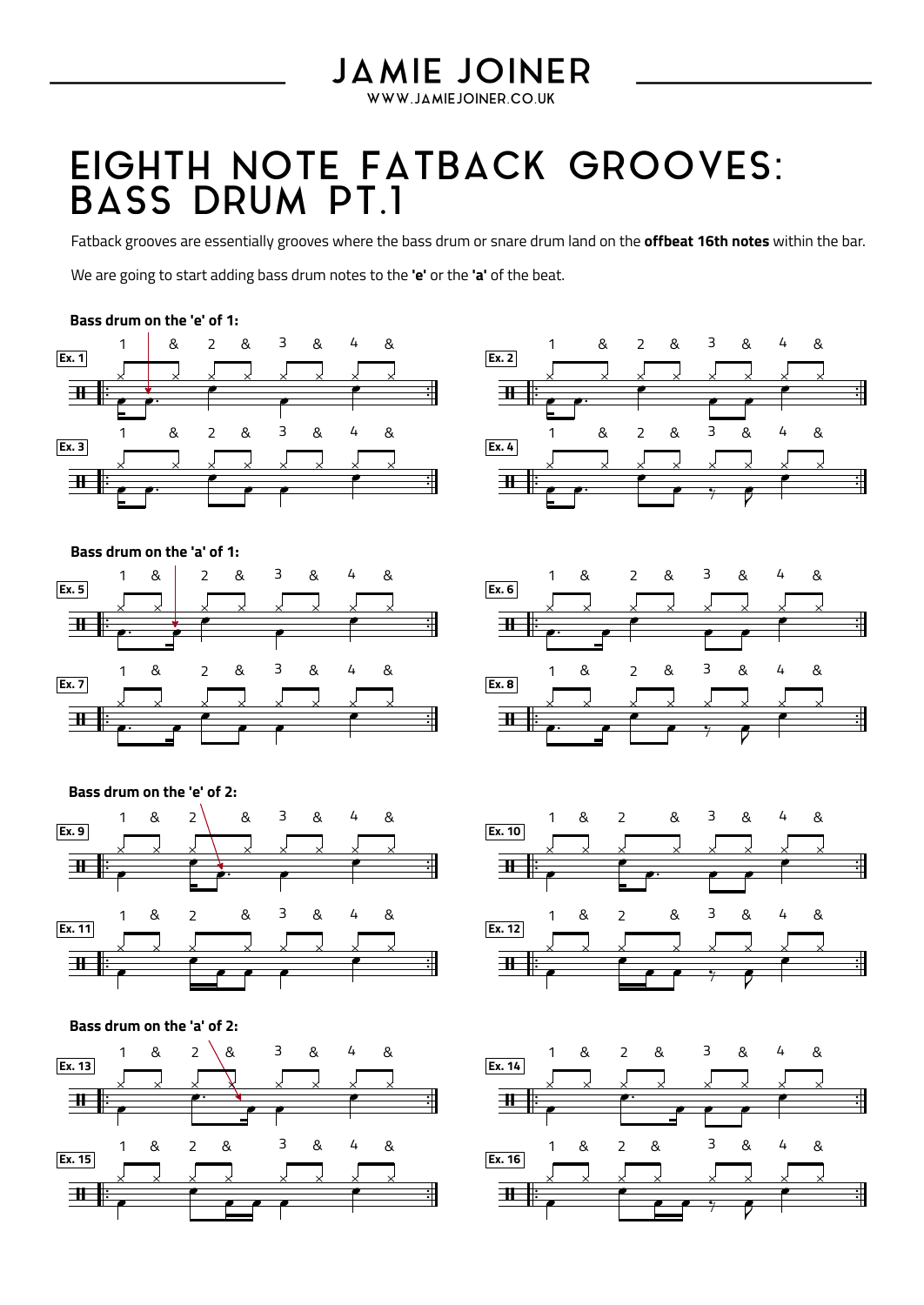## **JAMIE JOINER**

WWW.JAMIEJOINER.CO.UK

## EIGHTH NOTE FATBACK GROOVES: BASS DRUM PT.1

Fatback grooves are essentially grooves where the bass drum or snare drum land on the **offbeat 16th notes** within the bar.

We are going to start adding bass drum notes to the 'e' or the 'a' of the beat.